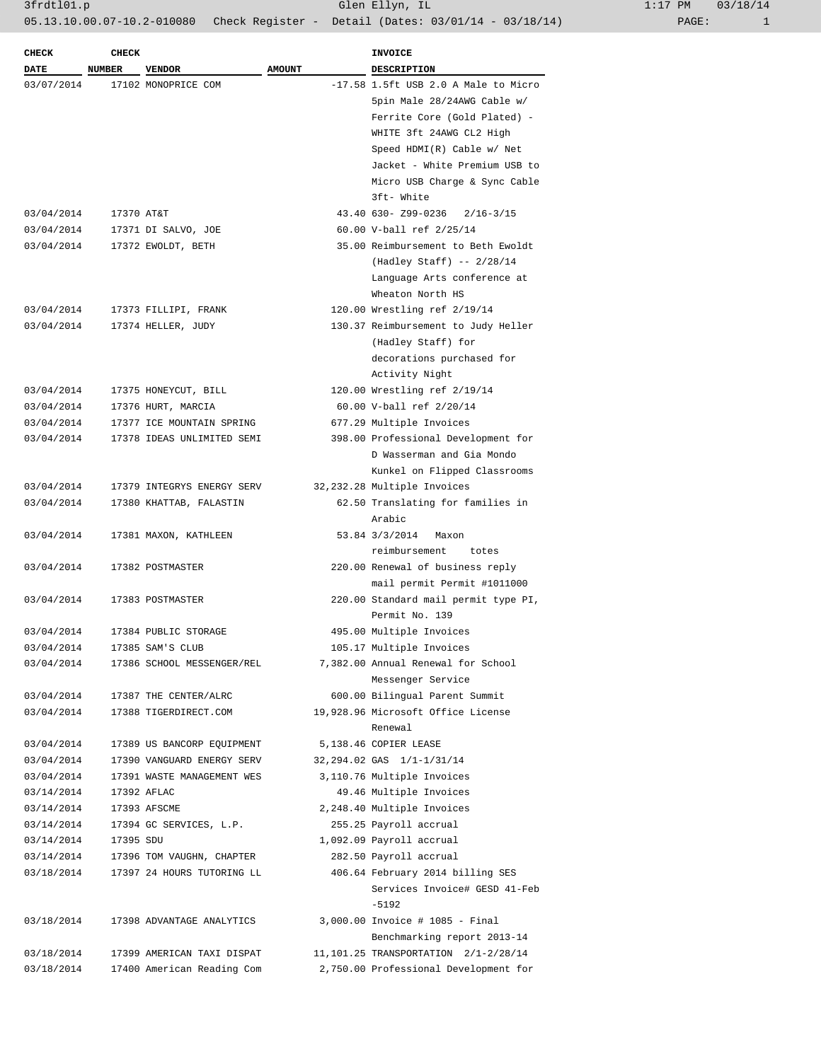3frdtl01.p Glen Ellyn, IL 1:17 PM 03/18/14 05.13.10.00.07-10.2-010080 Check Register - Detail (Dates: 03/01/14 - 03/18/14) PAGE: 1

| $1:17$ PM |       | 03/18/14 |
|-----------|-------|----------|
|           | PAGE: |          |

| <b>CHECK</b> | <b>CHECK</b>  |                            |               | <b>INVOICE</b>                         |
|--------------|---------------|----------------------------|---------------|----------------------------------------|
| <b>DATE</b>  | <b>NUMBER</b> | <b>VENDOR</b>              | <b>AMOUNT</b> | DESCRIPTION                            |
| 03/07/2014   |               | 17102 MONOPRICE COM        |               | $-17.58$ 1.5ft USB 2.0 A Male to Micro |
|              |               |                            |               | 5pin Male 28/24AWG Cable w/            |
|              |               |                            |               | Ferrite Core (Gold Plated) -           |
|              |               |                            |               | WHITE 3ft 24AWG CL2 High               |
|              |               |                            |               | Speed HDMI(R) Cable w/ Net             |
|              |               |                            |               | Jacket - White Premium USB to          |
|              |               |                            |               | Micro USB Charge & Sync Cable          |
|              |               |                            |               | 3ft- White                             |
| 03/04/2014   | 17370 AT&T    |                            |               | 43.40 630- Z99-0236<br>$2/16 - 3/15$   |
| 03/04/2014   |               | 17371 DI SALVO, JOE        |               | 60.00 V-ball ref 2/25/14               |
| 03/04/2014   |               | 17372 EWOLDT, BETH         |               | 35.00 Reimbursement to Beth Ewoldt     |
|              |               |                            |               | $(Hadley Staff) -- 2/28/14$            |
|              |               |                            |               | Language Arts conference at            |
|              |               |                            |               | Wheaton North HS                       |
|              |               |                            |               |                                        |
| 03/04/2014   |               | 17373 FILLIPI, FRANK       |               | 120.00 Wrestling ref 2/19/14           |
| 03/04/2014   |               | 17374 HELLER, JUDY         |               | 130.37 Reimbursement to Judy Heller    |
|              |               |                            |               | (Hadley Staff) for                     |
|              |               |                            |               | decorations purchased for              |
|              |               |                            |               | Activity Night                         |
| 03/04/2014   |               | 17375 HONEYCUT, BILL       |               | 120.00 Wrestling ref 2/19/14           |
| 03/04/2014   |               | 17376 HURT, MARCIA         |               | 60.00 V-ball ref 2/20/14               |
| 03/04/2014   |               | 17377 ICE MOUNTAIN SPRING  |               | 677.29 Multiple Invoices               |
| 03/04/2014   |               | 17378 IDEAS UNLIMITED SEMI |               | 398.00 Professional Development for    |
|              |               |                            |               | D Wasserman and Gia Mondo              |
|              |               |                            |               | Kunkel on Flipped Classrooms           |
| 03/04/2014   |               | 17379 INTEGRYS ENERGY SERV |               | 32,232.28 Multiple Invoices            |
| 03/04/2014   |               | 17380 KHATTAB, FALASTIN    |               | 62.50 Translating for families in      |
|              |               |                            |               | Arabic                                 |
| 03/04/2014   |               | 17381 MAXON, KATHLEEN      |               | 53.84 3/3/2014<br>Maxon                |
|              |               |                            |               | reimbursement<br>totes                 |
| 03/04/2014   |               | 17382 POSTMASTER           |               | 220.00 Renewal of business reply       |
|              |               |                            |               | mail permit Permit #1011000            |
| 03/04/2014   |               | 17383 POSTMASTER           |               | 220.00 Standard mail permit type PI,   |
|              |               |                            |               | Permit No. 139                         |
| 03/04/2014   |               | 17384 PUBLIC STORAGE       |               | 495.00 Multiple Invoices               |
| 03/04/2014   |               | 17385 SAM'S CLUB           |               | 105.17 Multiple Invoices               |
| 03/04/2014   |               | 17386 SCHOOL MESSENGER/REL |               | 7,382.00 Annual Renewal for School     |
|              |               |                            |               | Messenger Service                      |
| 03/04/2014   |               | 17387 THE CENTER/ALRC      |               | 600.00 Bilingual Parent Summit         |
| 03/04/2014   |               | 17388 TIGERDIRECT.COM      |               | 19,928.96 Microsoft Office License     |
|              |               |                            |               | Renewal                                |
| 03/04/2014   |               | 17389 US BANCORP EOUIPMENT |               | 5,138.46 COPIER LEASE                  |
| 03/04/2014   |               | 17390 VANGUARD ENERGY SERV |               | 32,294.02 GAS 1/1-1/31/14              |
| 03/04/2014   |               | 17391 WASTE MANAGEMENT WES |               | 3,110.76 Multiple Invoices             |
| 03/14/2014   |               | 17392 AFLAC                |               | 49.46 Multiple Invoices                |
| 03/14/2014   |               | 17393 AFSCME               |               | 2,248.40 Multiple Invoices             |
| 03/14/2014   |               | 17394 GC SERVICES, L.P.    |               | 255.25 Payroll accrual                 |
| 03/14/2014   | 17395 SDU     |                            |               | 1,092.09 Payroll accrual               |
|              |               |                            |               | 282.50 Payroll accrual                 |
| 03/14/2014   |               | 17396 TOM VAUGHN, CHAPTER  |               |                                        |
| 03/18/2014   |               | 17397 24 HOURS TUTORING LL |               | 406.64 February 2014 billing SES       |
|              |               |                            |               | Services Invoice# GESD 41-Feb          |
|              |               |                            |               | $-5192$                                |
| 03/18/2014   |               | 17398 ADVANTAGE ANALYTICS  |               | 3,000.00 Invoice # 1085 - Final        |
|              |               |                            |               | Benchmarking report 2013-14            |
| 03/18/2014   |               | 17399 AMERICAN TAXI DISPAT |               | 11, 101.25 TRANSPORTATION 2/1-2/28/14  |
| 03/18/2014   |               | 17400 American Reading Com |               | 2,750.00 Professional Development for  |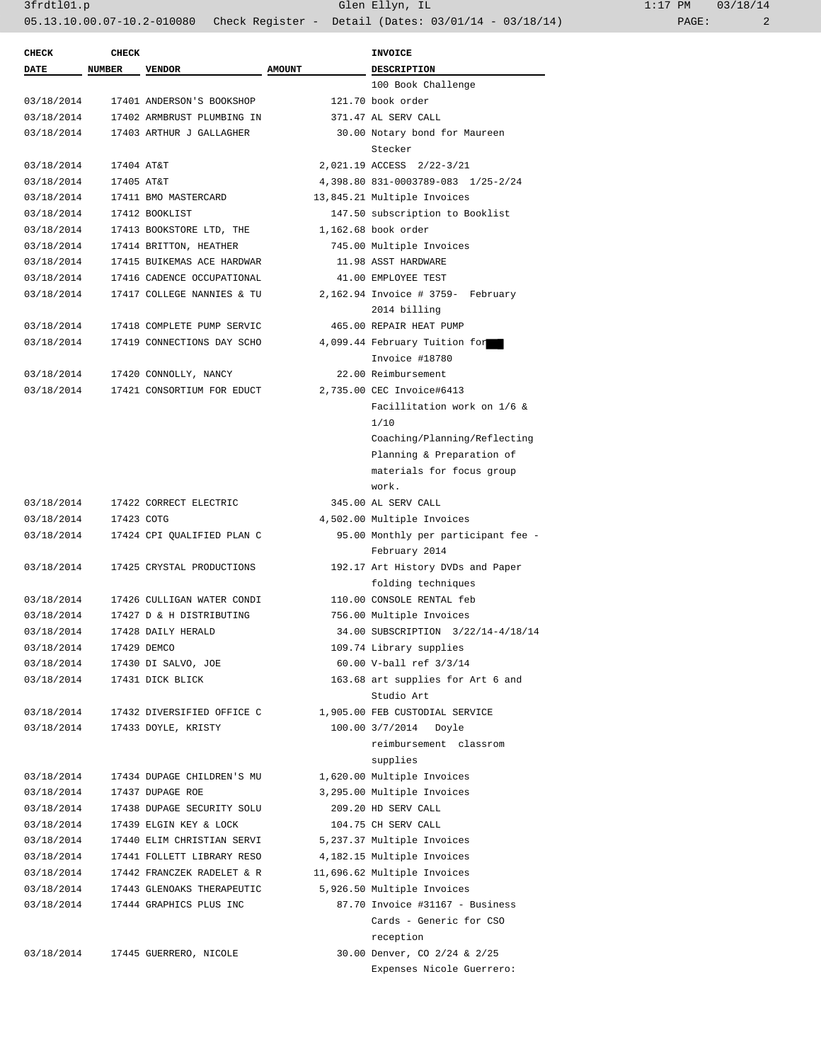| <b>CHECK</b> | <b>CHECK</b>  |                                                          |               | <b>INVOICE</b>                                  |
|--------------|---------------|----------------------------------------------------------|---------------|-------------------------------------------------|
| <b>DATE</b>  | <b>NUMBER</b> | <b>VENDOR</b>                                            | <b>AMOUNT</b> | <b>DESCRIPTION</b>                              |
|              |               |                                                          |               | 100 Book Challenge                              |
| 03/18/2014   |               | 17401 ANDERSON'S BOOKSHOP                                |               | 121.70 book order                               |
| 03/18/2014   |               | 17402 ARMBRUST PLUMBING IN                               |               | 371.47 AL SERV CALL                             |
| 03/18/2014   |               | 17403 ARTHUR J GALLAGHER                                 |               | 30.00 Notary bond for Maureen                   |
|              |               |                                                          |               | Stecker                                         |
| 03/18/2014   | 17404 AT&T    |                                                          |               | 2,021.19 ACCESS 2/22-3/21                       |
| 03/18/2014   | 17405 AT&T    |                                                          |               | 4,398.80 831-0003789-083 1/25-2/24              |
| 03/18/2014   |               | 17411 BMO MASTERCARD                                     |               | 13,845.21 Multiple Invoices                     |
| 03/18/2014   |               | 17412 BOOKLIST                                           |               | 147.50 subscription to Booklist                 |
| 03/18/2014   |               | 17413 BOOKSTORE LTD, THE                                 |               | 1,162.68 book order                             |
| 03/18/2014   |               | 17414 BRITTON, HEATHER                                   |               | 745.00 Multiple Invoices                        |
| 03/18/2014   |               | 17415 BUIKEMAS ACE HARDWAR                               |               | 11.98 ASST HARDWARE                             |
| 03/18/2014   |               | 17416 CADENCE OCCUPATIONAL                               |               | 41.00 EMPLOYEE TEST                             |
| 03/18/2014   |               | 17417 COLLEGE NANNIES & TU                               |               | 2,162.94 Invoice # 3759- February               |
|              |               |                                                          |               | 2014 billing<br>465.00 REPAIR HEAT PUMP         |
| 03/18/2014   |               | 17418 COMPLETE PUMP SERVIC<br>17419 CONNECTIONS DAY SCHO |               |                                                 |
| 03/18/2014   |               |                                                          |               | 4,099.44 February Tuition for<br>Invoice #18780 |
| 03/18/2014   |               | 17420 CONNOLLY, NANCY                                    |               | 22.00 Reimbursement                             |
| 03/18/2014   |               | 17421 CONSORTIUM FOR EDUCT                               |               | 2,735.00 CEC Invoice#6413                       |
|              |               |                                                          |               | Facillitation work on 1/6 &                     |
|              |               |                                                          |               | 1/10                                            |
|              |               |                                                          |               | Coaching/Planning/Reflecting                    |
|              |               |                                                          |               | Planning & Preparation of                       |
|              |               |                                                          |               | materials for focus group                       |
|              |               |                                                          |               | work.                                           |
| 03/18/2014   |               | 17422 CORRECT ELECTRIC                                   |               | 345.00 AL SERV CALL                             |
| 03/18/2014   | 17423 COTG    |                                                          |               | 4,502.00 Multiple Invoices                      |
| 03/18/2014   |               | 17424 CPI QUALIFIED PLAN C                               |               | 95.00 Monthly per participant fee -             |
|              |               |                                                          |               | February 2014                                   |
| 03/18/2014   |               | 17425 CRYSTAL PRODUCTIONS                                |               | 192.17 Art History DVDs and Paper               |
|              |               |                                                          |               | folding techniques                              |
| 03/18/2014   |               | 17426 CULLIGAN WATER CONDI                               |               | 110.00 CONSOLE RENTAL feb                       |
| 03/18/2014   |               | 17427 D & H DISTRIBUTING                                 |               | 756.00 Multiple Invoices                        |
| 03/18/2014   |               | 17428 DAILY HERALD                                       |               | 34.00 SUBSCRIPTION 3/22/14-4/18/14              |
| 03/18/2014   |               | 17429 DEMCO                                              |               | 109.74 Library supplies                         |
| 03/18/2014   |               | 17430 DI SALVO, JOE                                      |               | 60.00 V-ball ref 3/3/14                         |
| 03/18/2014   |               | 17431 DICK BLICK                                         |               | 163.68 art supplies for Art 6 and               |
|              |               |                                                          |               | Studio Art                                      |
| 03/18/2014   |               | 17432 DIVERSIFIED OFFICE C                               |               | 1,905.00 FEB CUSTODIAL SERVICE                  |
| 03/18/2014   |               | 17433 DOYLE, KRISTY                                      |               | 100.00 3/7/2014 Doyle                           |
|              |               |                                                          |               | reimbursement classrom                          |
|              |               |                                                          |               | supplies                                        |
| 03/18/2014   |               | 17434 DUPAGE CHILDREN'S MU                               |               | 1,620.00 Multiple Invoices                      |
| 03/18/2014   |               | 17437 DUPAGE ROE                                         |               | 3,295.00 Multiple Invoices                      |
| 03/18/2014   |               | 17438 DUPAGE SECURITY SOLU                               |               | 209.20 HD SERV CALL                             |
| 03/18/2014   |               | 17439 ELGIN KEY & LOCK                                   |               | 104.75 CH SERV CALL                             |
| 03/18/2014   |               | 17440 ELIM CHRISTIAN SERVI                               |               | 5,237.37 Multiple Invoices                      |
| 03/18/2014   |               | 17441 FOLLETT LIBRARY RESO                               |               | 4,182.15 Multiple Invoices                      |
| 03/18/2014   |               | 17442 FRANCZEK RADELET & R                               |               | 11,696.62 Multiple Invoices                     |
| 03/18/2014   |               | 17443 GLENOAKS THERAPEUTIC                               |               | 5,926.50 Multiple Invoices                      |
| 03/18/2014   |               | 17444 GRAPHICS PLUS INC                                  |               | 87.70 Invoice #31167 - Business                 |
|              |               |                                                          |               | Cards - Generic for CSO                         |
|              |               |                                                          |               | reception                                       |
| 03/18/2014   |               | 17445 GUERRERO, NICOLE                                   |               | 30.00 Denver, CO 2/24 & 2/25                    |

Expenses Nicole Guerrero: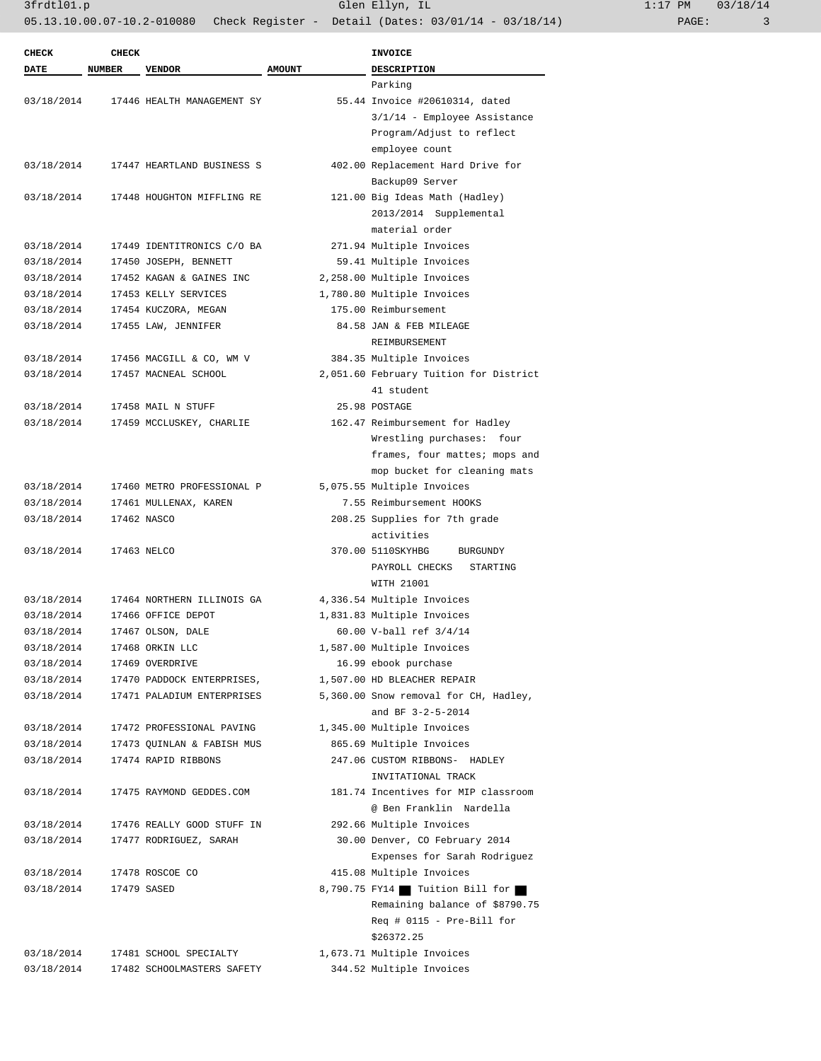| <b>CHECK</b> | <b>CHECK</b>  |                            |               | <b>INVOICE</b>                         |
|--------------|---------------|----------------------------|---------------|----------------------------------------|
| <b>DATE</b>  | <b>NUMBER</b> | <b>VENDOR</b>              | <b>AMOUNT</b> | <b>DESCRIPTION</b>                     |
|              |               |                            |               | Parking                                |
| 03/18/2014   |               | 17446 HEALTH MANAGEMENT SY |               | 55.44 Invoice #20610314, dated         |
|              |               |                            |               | 3/1/14 - Employee Assistance           |
|              |               |                            |               | Program/Adjust to reflect              |
|              |               |                            |               | employee count                         |
| 03/18/2014   |               | 17447 HEARTLAND BUSINESS S |               | 402.00 Replacement Hard Drive for      |
|              |               |                            |               | Backup09 Server                        |
| 03/18/2014   |               | 17448 HOUGHTON MIFFLING RE |               | 121.00 Big Ideas Math (Hadley)         |
|              |               |                            |               | 2013/2014 Supplemental                 |
|              |               |                            |               | material order                         |
| 03/18/2014   |               | 17449 IDENTITRONICS C/O BA |               | 271.94 Multiple Invoices               |
| 03/18/2014   |               | 17450 JOSEPH, BENNETT      |               | 59.41 Multiple Invoices                |
|              |               |                            |               |                                        |
| 03/18/2014   |               | 17452 KAGAN & GAINES INC   |               | 2,258.00 Multiple Invoices             |
| 03/18/2014   |               | 17453 KELLY SERVICES       |               | 1,780.80 Multiple Invoices             |
| 03/18/2014   |               | 17454 KUCZORA, MEGAN       |               | 175.00 Reimbursement                   |
| 03/18/2014   |               | 17455 LAW, JENNIFER        |               | 84.58 JAN & FEB MILEAGE                |
|              |               |                            |               | REIMBURSEMENT                          |
| 03/18/2014   |               | 17456 MACGILL & CO, WM V   |               | 384.35 Multiple Invoices               |
| 03/18/2014   |               | 17457 MACNEAL SCHOOL       |               | 2,051.60 February Tuition for District |
|              |               |                            |               | 41 student                             |
| 03/18/2014   |               | 17458 MAIL N STUFF         |               | 25.98 POSTAGE                          |
| 03/18/2014   |               | 17459 MCCLUSKEY, CHARLIE   |               | 162.47 Reimbursement for Hadley        |
|              |               |                            |               | Wrestling purchases: four              |
|              |               |                            |               | frames, four mattes; mops and          |
|              |               |                            |               | mop bucket for cleaning mats           |
| 03/18/2014   |               | 17460 METRO PROFESSIONAL P |               | 5,075.55 Multiple Invoices             |
| 03/18/2014   |               | 17461 MULLENAX, KAREN      |               | 7.55 Reimbursement HOOKS               |
| 03/18/2014   |               | 17462 NASCO                |               | 208.25 Supplies for 7th grade          |
|              |               |                            |               | activities                             |
| 03/18/2014   |               | 17463 NELCO                |               | 370.00 5110SKYHBG<br><b>BURGUNDY</b>   |
|              |               |                            |               | PAYROLL CHECKS<br>STARTING             |
|              |               |                            |               | WITH 21001                             |
| 03/18/2014   |               | 17464 NORTHERN ILLINOIS GA |               | 4,336.54 Multiple Invoices             |
| 03/18/2014   |               | 17466 OFFICE DEPOT         |               | 1,831.83 Multiple Invoices             |
| 03/18/2014   |               | 17467 OLSON, DALE          |               | 60.00 V-ball ref 3/4/14                |
| 03/18/2014   |               | 17468 ORKIN LLC            |               | 1,587.00 Multiple Invoices             |
|              |               |                            |               |                                        |
| 03/18/2014   |               | 17469 OVERDRIVE            |               | 16.99 ebook purchase                   |
| 03/18/2014   |               | 17470 PADDOCK ENTERPRISES, |               | 1,507.00 HD BLEACHER REPAIR            |
| 03/18/2014   |               | 17471 PALADIUM ENTERPRISES |               | 5,360.00 Snow removal for CH, Hadley,  |
|              |               |                            |               | and BF 3-2-5-2014                      |
| 03/18/2014   |               | 17472 PROFESSIONAL PAVING  |               | 1,345.00 Multiple Invoices             |
| 03/18/2014   |               | 17473 QUINLAN & FABISH MUS |               | 865.69 Multiple Invoices               |
| 03/18/2014   |               | 17474 RAPID RIBBONS        |               | 247.06 CUSTOM RIBBONS- HADLEY          |
|              |               |                            |               | INVITATIONAL TRACK                     |
| 03/18/2014   |               | 17475 RAYMOND GEDDES.COM   |               | 181.74 Incentives for MIP classroom    |
|              |               |                            |               | @ Ben Franklin Nardella                |
| 03/18/2014   |               | 17476 REALLY GOOD STUFF IN |               | 292.66 Multiple Invoices               |
| 03/18/2014   |               | 17477 RODRIGUEZ, SARAH     |               | 30.00 Denver, CO February 2014         |
|              |               |                            |               | Expenses for Sarah Rodriguez           |
| 03/18/2014   |               | 17478 ROSCOE CO            |               | 415.08 Multiple Invoices               |
| 03/18/2014   |               | 17479 SASED                |               | 8,790.75 FY14 Tuition Bill for         |
|              |               |                            |               | Remaining balance of \$8790.75         |
|              |               |                            |               | Req # 0115 - Pre-Bill for              |
|              |               |                            |               | \$26372.25                             |
| 03/18/2014   |               | 17481 SCHOOL SPECIALTY     |               | 1,673.71 Multiple Invoices             |
|              |               |                            |               |                                        |
| 03/18/2014   |               | 17482 SCHOOLMASTERS SAFETY |               | 344.52 Multiple Invoices               |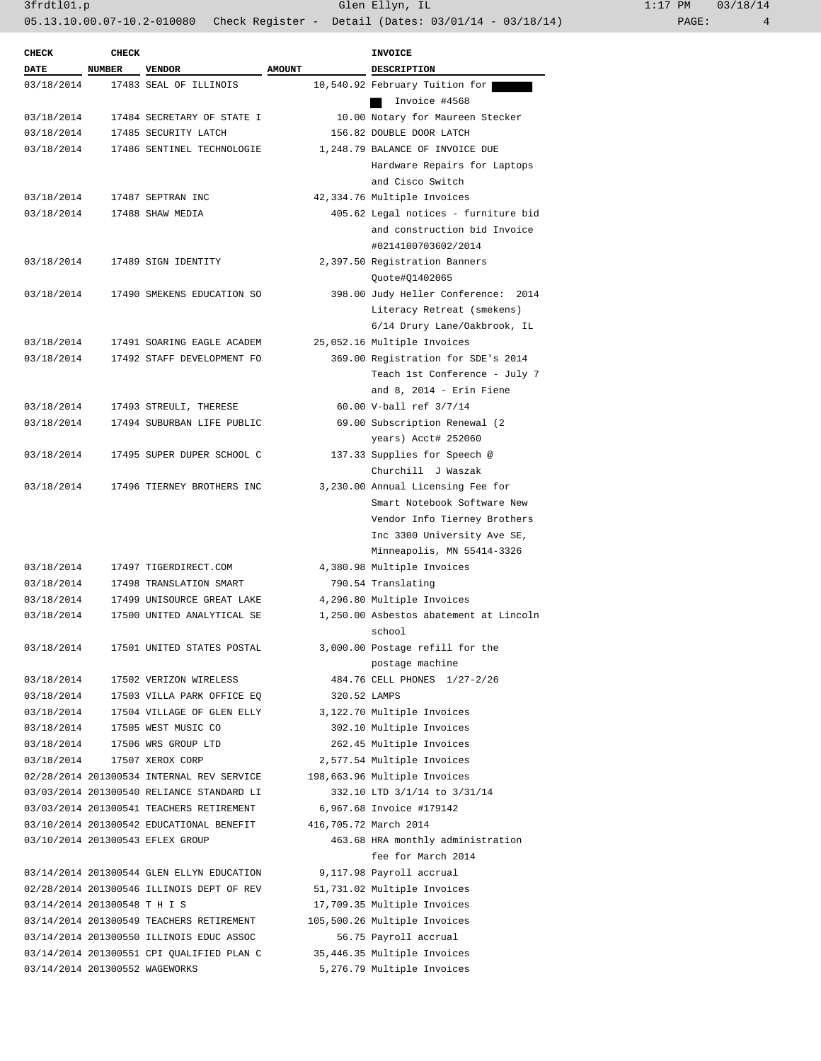| <b>CHECK</b>                   | <b>CHECK</b> |                                           |               | <b>INVOICE</b>                         |
|--------------------------------|--------------|-------------------------------------------|---------------|----------------------------------------|
| <b>DATE</b>                    | NUMBER       | <b>VENDOR</b>                             | <b>AMOUNT</b> | DESCRIPTION                            |
| 03/18/2014                     |              | 17483 SEAL OF ILLINOIS                    |               | 10,540.92 February Tuition for         |
|                                |              |                                           |               | Invoice #4568                          |
| 03/18/2014                     |              | 17484 SECRETARY OF STATE I                |               | 10.00 Notary for Maureen Stecker       |
| 03/18/2014                     |              | 17485 SECURITY LATCH                      |               | 156.82 DOUBLE DOOR LATCH               |
| 03/18/2014                     |              | 17486 SENTINEL TECHNOLOGIE                |               | 1,248.79 BALANCE OF INVOICE DUE        |
|                                |              |                                           |               | Hardware Repairs for Laptops           |
|                                |              |                                           |               | and Cisco Switch                       |
| 03/18/2014                     |              | 17487 SEPTRAN INC                         |               | 42,334.76 Multiple Invoices            |
| 03/18/2014                     |              | 17488 SHAW MEDIA                          |               | 405.62 Legal notices - furniture bid   |
|                                |              |                                           |               | and construction bid Invoice           |
|                                |              |                                           |               | #0214100703602/2014                    |
| 03/18/2014                     |              | 17489 SIGN IDENTITY                       |               | 2,397.50 Registration Banners          |
|                                |              |                                           |               | Quote#Q1402065                         |
| 03/18/2014                     |              | 17490 SMEKENS EDUCATION SO                |               | 398.00 Judy Heller Conference: 2014    |
|                                |              |                                           |               | Literacy Retreat (smekens)             |
|                                |              |                                           |               | 6/14 Drury Lane/Oakbrook, IL           |
| 03/18/2014                     |              | 17491 SOARING EAGLE ACADEM                |               | 25,052.16 Multiple Invoices            |
| 03/18/2014                     |              | 17492 STAFF DEVELOPMENT FO                |               | 369.00 Registration for SDE's 2014     |
|                                |              |                                           |               | Teach 1st Conference - July 7          |
|                                |              |                                           |               |                                        |
|                                |              |                                           |               | and $8$ , $2014$ - Erin Fiene          |
| 03/18/2014                     |              | 17493 STREULI, THERESE                    |               | 60.00 V-ball ref 3/7/14                |
| 03/18/2014                     |              | 17494 SUBURBAN LIFE PUBLIC                |               | 69.00 Subscription Renewal (2)         |
|                                |              |                                           |               | years) Acct# 252060                    |
| 03/18/2014                     |              | 17495 SUPER DUPER SCHOOL C                |               | 137.33 Supplies for Speech @           |
|                                |              |                                           |               | Churchill J Waszak                     |
| 03/18/2014                     |              | 17496 TIERNEY BROTHERS INC                |               | 3,230.00 Annual Licensing Fee for      |
|                                |              |                                           |               | Smart Notebook Software New            |
|                                |              |                                           |               | Vendor Info Tierney Brothers           |
|                                |              |                                           |               | Inc 3300 University Ave SE,            |
|                                |              |                                           |               | Minneapolis, MN 55414-3326             |
| 03/18/2014                     |              | 17497 TIGERDIRECT.COM                     |               | 4,380.98 Multiple Invoices             |
| 03/18/2014                     |              | 17498 TRANSLATION SMART                   |               | 790.54 Translating                     |
| 03/18/2014                     |              | 17499 UNISOURCE GREAT LAKE                |               | 4,296.80 Multiple Invoices             |
| 03/18/2014                     |              | 17500 UNITED ANALYTICAL SE                |               | 1,250.00 Asbestos abatement at Lincoln |
|                                |              |                                           |               | school                                 |
| 03/18/2014                     |              | 17501 UNITED STATES POSTAL                |               | 3,000.00 Postage refill for the        |
|                                |              |                                           |               | postage machine                        |
| 03/18/2014                     |              | 17502 VERIZON WIRELESS                    |               | 484.76 CELL PHONES 1/27-2/26           |
| 03/18/2014                     |              | 17503 VILLA PARK OFFICE EQ                | 320.52 LAMPS  |                                        |
| 03/18/2014                     |              | 17504 VILLAGE OF GLEN ELLY                |               | 3,122.70 Multiple Invoices             |
| 03/18/2014                     |              | 17505 WEST MUSIC CO                       |               | 302.10 Multiple Invoices               |
| 03/18/2014                     |              | 17506 WRS GROUP LTD                       |               | 262.45 Multiple Invoices               |
| 03/18/2014                     |              | 17507 XEROX CORP                          |               | 2,577.54 Multiple Invoices             |
|                                |              | 02/28/2014 201300534 INTERNAL REV SERVICE |               | 198,663.96 Multiple Invoices           |
|                                |              | 03/03/2014 201300540 RELIANCE STANDARD LI |               | 332.10 LTD 3/1/14 to 3/31/14           |
|                                |              | 03/03/2014 201300541 TEACHERS RETIREMENT  |               | 6,967.68 Invoice #179142               |
|                                |              | 03/10/2014 201300542 EDUCATIONAL BENEFIT  |               | 416,705.72 March 2014                  |
|                                |              | 03/10/2014 201300543 EFLEX GROUP          |               | 463.68 HRA monthly administration      |
|                                |              |                                           |               | fee for March 2014                     |
|                                |              |                                           |               |                                        |
|                                |              | 03/14/2014 201300544 GLEN ELLYN EDUCATION |               | 9,117.98 Payroll accrual               |
|                                |              | 02/28/2014 201300546 ILLINOIS DEPT OF REV |               | 51,731.02 Multiple Invoices            |
| 03/14/2014 201300548 T H I S   |              |                                           |               | 17,709.35 Multiple Invoices            |
|                                |              | 03/14/2014 201300549 TEACHERS RETIREMENT  |               | 105,500.26 Multiple Invoices           |
|                                |              | 03/14/2014 201300550 ILLINOIS EDUC ASSOC  |               | 56.75 Payroll accrual                  |
|                                |              | 03/14/2014 201300551 CPI QUALIFIED PLAN C |               | 35,446.35 Multiple Invoices            |
| 03/14/2014 201300552 WAGEWORKS |              |                                           |               | 5,276.79 Multiple Invoices             |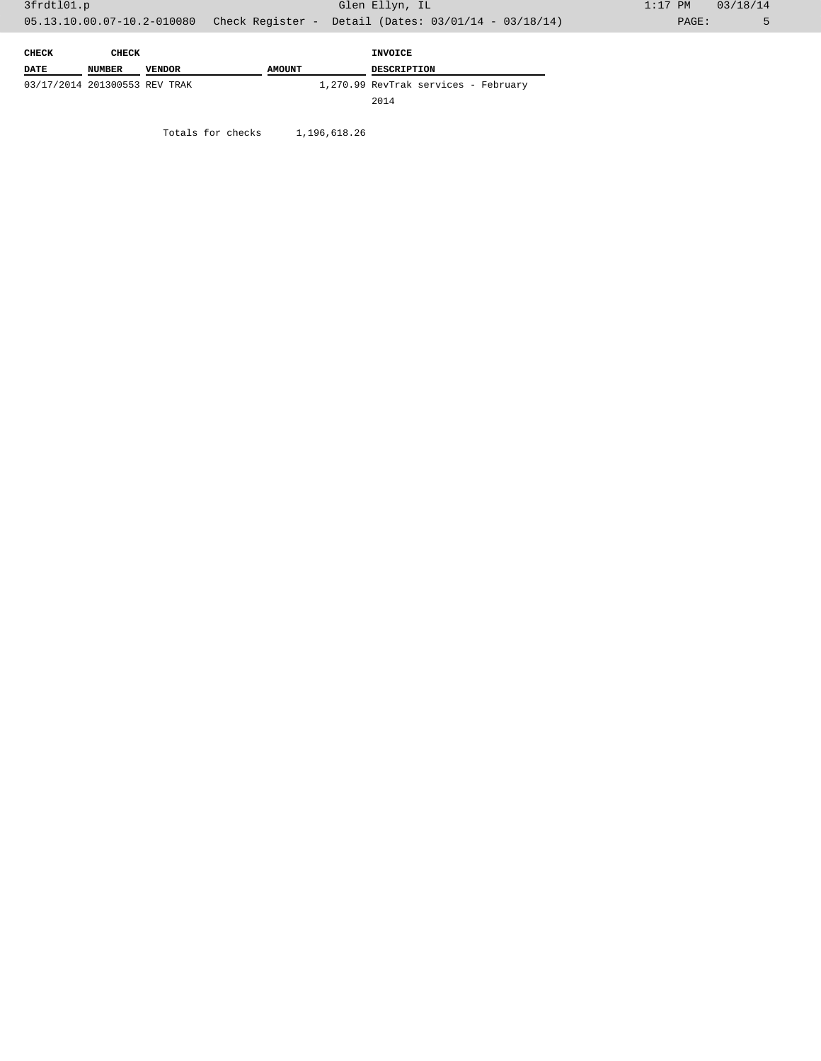| CHECK                         | CHECK  |               | INVOICE       |                                      |
|-------------------------------|--------|---------------|---------------|--------------------------------------|
| <b>DATE</b>                   | NUMBER | <b>VENDOR</b> | <b>AMOUNT</b> | <b>DESCRIPTION</b>                   |
| 03/17/2014 201300553 REV TRAK |        |               |               | 1,270.99 RevTrak services - February |
|                               |        |               |               | 2014                                 |

Totals for checks 1,196,618.26